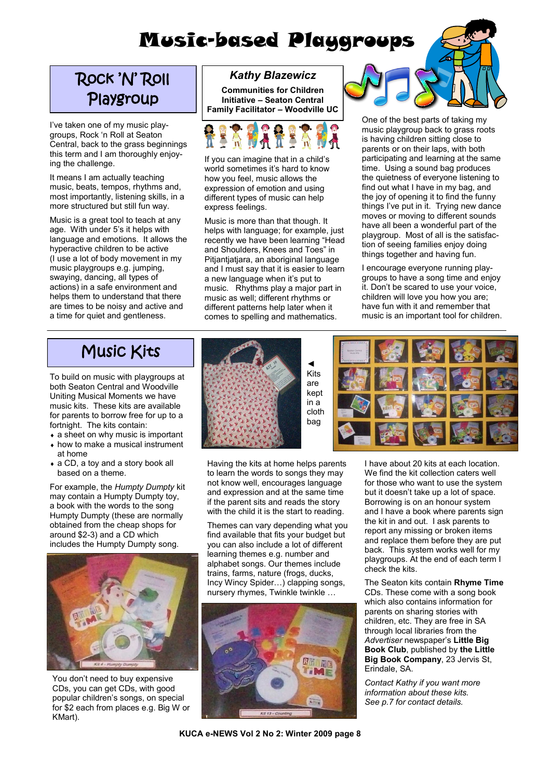## Music-based Playgroups

## Rock 'N' Roll Playgroup

I've taken one of my music playgroups, Rock "n Roll at Seaton Central, back to the grass beginnings this term and I am thoroughly enjoying the challenge.

It means I am actually teaching music, beats, tempos, rhythms and, most importantly, listening skills, in a more structured but still fun way.

Music is a great tool to teach at any age. With under 5"s it helps with language and emotions. It allows the hyperactive children to be active (I use a lot of body movement in my music playgroups e.g. jumping, swaying, dancing, all types of actions) in a safe environment and helps them to understand that there are times to be noisy and active and a time for quiet and gentleness.

#### *Kathy Blazewicz*

**Communities for Children Initiative – Seaton Central Family Facilitator – Woodville UC**



If you can imagine that in a child"s world sometimes it's hard to know how you feel, music allows the expression of emotion and using different types of music can help express feelings.

Music is more than that though. It helps with language; for example, just recently we have been learning "Head and Shoulders, Knees and Toes" in Pitiantiatiara, an aboriginal language and I must say that it is easier to learn a new language when it's put to music. Rhythms play a major part in music as well; different rhythms or different patterns help later when it comes to spelling and mathematics.



One of the best parts of taking my music playgroup back to grass roots is having children sitting close to parents or on their laps, with both participating and learning at the same time. Using a sound bag produces the quietness of everyone listening to find out what I have in my bag, and the joy of opening it to find the funny things I've put in it. Trying new dance moves or moving to different sounds have all been a wonderful part of the playgroup. Most of all is the satisfaction of seeing families enjoy doing things together and having fun.

I encourage everyone running playgroups to have a song time and enjoy it. Don"t be scared to use your voice, children will love you how you are; have fun with it and remember that music is an important tool for children.

## Music Kits

To build on music with playgroups at both Seaton Central and Woodville Uniting Musical Moments we have music kits. These kits are available for parents to borrow free for up to a fortnight. The kits contain:

- a sheet on why music is important
- how to make a musical instrument at home
- a CD, a toy and a story book all based on a theme.

For example, the *Humpty Dumpty* kit may contain a Humpty Dumpty toy, a book with the words to the song Humpty Dumpty (these are normally obtained from the cheap shops for around \$2-3) and a CD which includes the Humpty Dumpty song.



You don"t need to buy expensive CDs, you can get CDs, with good popular children"s songs, on special for \$2 each from places e.g. Big W or KMart).



Having the kits at home helps parents to learn the words to songs they may not know well, encourages language and expression and at the same time if the parent sits and reads the story with the child it is the start to reading.

Themes can vary depending what you find available that fits your budget but you can also include a lot of different learning themes e.g. number and alphabet songs. Our themes include trains, farms, nature (frogs, ducks, Incy Wincy Spider…) clapping songs, nursery rhymes, Twinkle twinkle ...





I have about 20 kits at each location. We find the kit collection caters well for those who want to use the system but it doesn"t take up a lot of space. Borrowing is on an honour system and I have a book where parents sign the kit in and out. I ask parents to report any missing or broken items and replace them before they are put back. This system works well for my playgroups. At the end of each term I check the kits.

The Seaton kits contain **Rhyme Time**  CDs. These come with a song book which also contains information for parents on sharing stories with children, etc. They are free in SA through local libraries from the *Advertiser* newspaper"s **Little Big Book Club**, published by **the Little Big Book Company**, 23 Jervis St, Erindale, SA.

*Contact Kathy if you want more information about these kits. See p.7 for contact details.*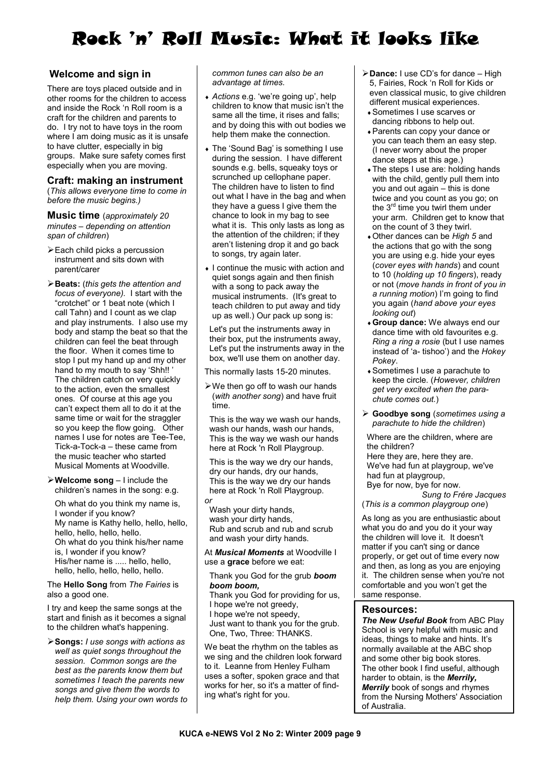## Rock 'n' Roll Music: What it looks like

#### **Welcome and sign in**

There are toys placed outside and in other rooms for the children to access and inside the Rock "n Roll room is a craft for the children and parents to do. I try not to have toys in the room where I am doing music as it is unsafe to have clutter, especially in big groups. Make sure safety comes first especially when you are moving.

#### **Craft: making an instrument**

(*This allows everyone time to come in before the music begins.)*

**Music time** (*approximately 20 minutes – depending on attention span of children*)

- Each child picks a percussion instrument and sits down with parent/carer
- **Beats:** (*this gets the attention and focus of everyone).* I start with the "crotchet" or 1 beat note (which I call Tahn) and I count as we clap and play instruments. I also use my body and stamp the beat so that the children can feel the beat through the floor. When it comes time to stop I put my hand up and my other hand to my mouth to say 'Shh!!' The children catch on very quickly to the action, even the smallest ones. Of course at this age you can"t expect them all to do it at the same time or wait for the straggler so you keep the flow going. Other names I use for notes are Tee-Tee, Tick-a-Tock-a – these came from the music teacher who started Musical Moments at Woodville.

**Welcome song** – I include the children"s names in the song: e.g.

Oh what do you think my name is, I wonder if you know? My name is Kathy hello, hello, hello, hello, hello, hello, hello. Oh what do you think his/her name is, I wonder if you know? His/her name is ..... hello, hello, hello, hello, hello, hello, hello.

The **Hello Song** from *The Fairies* is also a good one.

I try and keep the same songs at the start and finish as it becomes a signal to the children what's happening.

**Songs:** *I use songs with actions as well as quiet songs throughout the session. Common songs are the best as the parents know them but sometimes I teach the parents new songs and give them the words to help them. Using your own words to*  *common tunes can also be an advantage at times.*

- *Actions* e.g. "we"re going up", help children to know that music isn"t the same all the time, it rises and falls; and by doing this with out bodies we help them make the connection.
- The 'Sound Bag' is something I use during the session. I have different sounds e.g. bells, squeaky toys or scrunched up cellophane paper. The children have to listen to find out what I have in the bag and when they have a guess I give them the chance to look in my bag to see what it is. This only lasts as long as the attention of the children; if they aren"t listening drop it and go back to songs, try again later.
- I continue the music with action and quiet songs again and then finish with a song to pack away the musical instruments. (It's great to teach children to put away and tidy up as well.) Our pack up song is:

Let's put the instruments away in their box, put the instruments away, Let's put the instruments away in the box, we'll use them on another day.

This normally lasts 15-20 minutes.

 $\triangleright$  We then go off to wash our hands (*with another song*) and have fruit time.

This is the way we wash our hands, wash our hands, wash our hands, This is the way we wash our hands here at Rock 'n Roll Playgroup.

This is the way we dry our hands, dry our hands, dry our hands, This is the way we dry our hands here at Rock 'n Roll Playgroup. *or*

Wash your dirty hands, wash your dirty hands, Rub and scrub and rub and scrub and wash your dirty hands.

At *Musical Moments* at Woodville I use a **grace** before we eat:

Thank you God for the grub *boom boom boom,*

Thank you God for providing for us, I hope we're not greedy, I hope we're not speedy, Just want to thank you for the grub. One, Two, Three: THANKS.

We beat the rhythm on the tables as we sing and the children look forward to it. Leanne from Henley Fulham uses a softer, spoken grace and that works for her, so it's a matter of finding what's right for you.

- **Dance:** I use CD"s for dance High 5, Fairies, Rock "n Roll for Kids or even classical music, to give children different musical experiences.
	- Sometimes I use scarves or dancing ribbons to help out.
	- Parents can copy your dance or you can teach them an easy step. (I never worry about the proper dance steps at this age.)
	- The steps I use are: holding hands with the child, gently pull them into you and out again – this is done twice and you count as you go; on the 3<sup>rd</sup> time you twirl them under your arm. Children get to know that on the count of 3 they twirl.
	- Other dances can be *High 5* and the actions that go with the song you are using e.g. hide your eyes (*cover eyes with hands*) and count to 10 (*holding up 10 fingers*), ready or not (*move hands in front of you in a running motion*) I"m going to find you again (*hand above your eyes looking out*)
	- **Group dance:** We always end our dance time with old favourites e.g. *Ring a ring a rosie* (but I use names instead of "a- tishoo") and the *Hokey Pokey*.
	- Sometimes I use a parachute to keep the circle. (*However, children get very excited when the parachute comes out.*)
- **Goodbye song** (*sometimes using a parachute to hide the children*)

Where are the children, where are the children?

Here they are, here they are. We've had fun at playgroup, we've had fun at playgroup, Bye for now, bye for now.

*Sung to Frére Jacques* (*This is a common playgroup one*)

As long as you are enthusiastic about what you do and you do it your way the children will love it. It doesn't matter if you can't sing or dance properly, or get out of time every now and then, as long as you are enjoying it. The children sense when you're not comfortable and you won"t get the same response.

#### **Resources:**

*The New Useful Book* from ABC Play School is very helpful with music and ideas, things to make and hints. It's normally available at the ABC shop and some other big book stores. The other book I find useful, although harder to obtain, is the *Merrily, Merrily* book of songs and rhymes from the Nursing Mothers' Association of Australia.